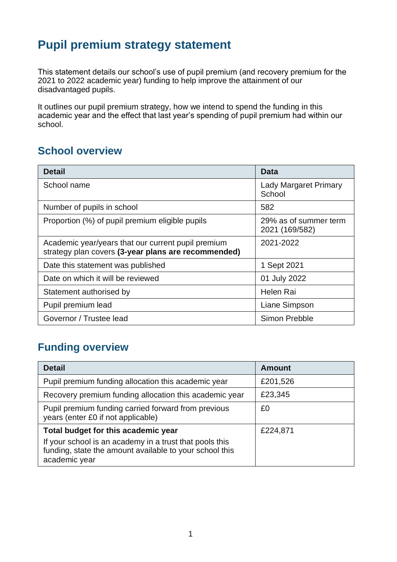# **Pupil premium strategy statement**

This statement details our school's use of pupil premium (and recovery premium for the 2021 to 2022 academic year) funding to help improve the attainment of our disadvantaged pupils.

It outlines our pupil premium strategy, how we intend to spend the funding in this academic year and the effect that last year's spending of pupil premium had within our school.

### **School overview**

| <b>Detail</b>                                                                                             | Data                                    |
|-----------------------------------------------------------------------------------------------------------|-----------------------------------------|
| School name                                                                                               | <b>Lady Margaret Primary</b><br>School  |
| Number of pupils in school                                                                                | 582                                     |
| Proportion (%) of pupil premium eligible pupils                                                           | 29% as of summer term<br>2021 (169/582) |
| Academic year/years that our current pupil premium<br>strategy plan covers (3-year plans are recommended) | 2021-2022                               |
| Date this statement was published                                                                         | 1 Sept 2021                             |
| Date on which it will be reviewed                                                                         | 01 July 2022                            |
| Statement authorised by                                                                                   | Helen Rai                               |
| Pupil premium lead                                                                                        | Liane Simpson                           |
| Governor / Trustee lead                                                                                   | Simon Prebble                           |

# **Funding overview**

| <b>Detail</b>                                                                                                                                                              | <b>Amount</b> |
|----------------------------------------------------------------------------------------------------------------------------------------------------------------------------|---------------|
| Pupil premium funding allocation this academic year                                                                                                                        | £201,526      |
| Recovery premium funding allocation this academic year                                                                                                                     | £23,345       |
| Pupil premium funding carried forward from previous<br>years (enter £0 if not applicable)                                                                                  | £0            |
| Total budget for this academic year<br>If your school is an academy in a trust that pools this<br>funding, state the amount available to your school this<br>academic year | £224,871      |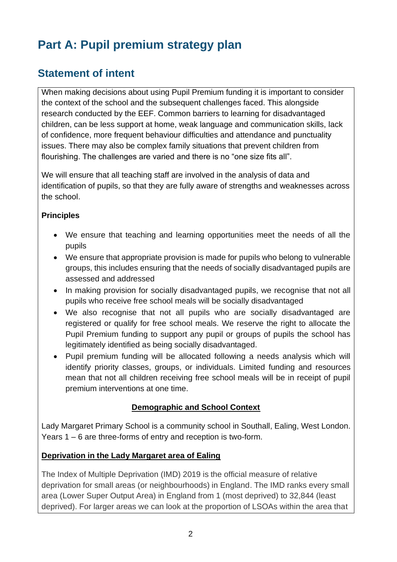# **Part A: Pupil premium strategy plan**

# **Statement of intent**

When making decisions about using Pupil Premium funding it is important to consider the context of the school and the subsequent challenges faced. This alongside research conducted by the EEF. Common barriers to learning for disadvantaged children, can be less support at home, weak language and communication skills, lack of confidence, more frequent behaviour difficulties and attendance and punctuality issues. There may also be complex family situations that prevent children from flourishing. The challenges are varied and there is no "one size fits all".

We will ensure that all teaching staff are involved in the analysis of data and identification of pupils, so that they are fully aware of strengths and weaknesses across the school.

#### **Principles**

- We ensure that teaching and learning opportunities meet the needs of all the pupils
- We ensure that appropriate provision is made for pupils who belong to vulnerable groups, this includes ensuring that the needs of socially disadvantaged pupils are assessed and addressed
- In making provision for socially disadvantaged pupils, we recognise that not all pupils who receive free school meals will be socially disadvantaged
- We also recognise that not all pupils who are socially disadvantaged are registered or qualify for free school meals. We reserve the right to allocate the Pupil Premium funding to support any pupil or groups of pupils the school has legitimately identified as being socially disadvantaged.
- Pupil premium funding will be allocated following a needs analysis which will identify priority classes, groups, or individuals. Limited funding and resources mean that not all children receiving free school meals will be in receipt of pupil premium interventions at one time.

#### **Demographic and School Context**

Lady Margaret Primary School is a community school in Southall, Ealing, West London. Years 1 – 6 are three-forms of entry and reception is two-form.

#### **Deprivation in the Lady Margaret area of Ealing**

The Index of Multiple Deprivation (IMD) 2019 is the official measure of relative deprivation for small areas (or neighbourhoods) in England. The IMD ranks every small area (Lower Super Output Area) in England from 1 (most deprived) to 32,844 (least deprived). For larger areas we can look at the proportion of LSOAs within the area that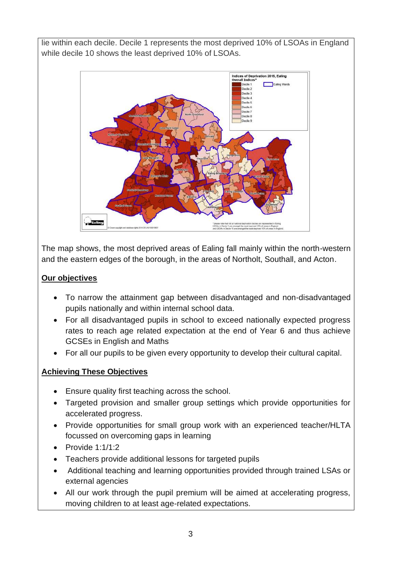lie within each decile. Decile 1 represents the most deprived 10% of LSOAs in England while decile 10 shows the least deprived 10% of LSOAs.



The map shows, the most deprived areas of Ealing fall mainly within the north-western and the eastern edges of the borough, in the areas of Northolt, Southall, and Acton.

#### **Our objectives**

- To narrow the attainment gap between disadvantaged and non-disadvantaged pupils nationally and within internal school data.
- For all disadvantaged pupils in school to exceed nationally expected progress rates to reach age related expectation at the end of Year 6 and thus achieve GCSEs in English and Maths
- For all our pupils to be given every opportunity to develop their cultural capital.

### **Achieving These Objectives**

- Ensure quality first teaching across the school.
- Targeted provision and smaller group settings which provide opportunities for accelerated progress.
- Provide opportunities for small group work with an experienced teacher/HLTA focussed on overcoming gaps in learning
- Provide  $1:1/1:2$
- Teachers provide additional lessons for targeted pupils
- Additional teaching and learning opportunities provided through trained LSAs or external agencies
- All our work through the pupil premium will be aimed at accelerating progress, moving children to at least age-related expectations.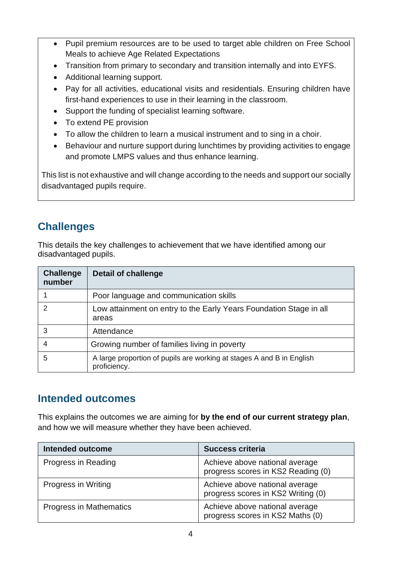- Pupil premium resources are to be used to target able children on Free School Meals to achieve Age Related Expectations
- Transition from primary to secondary and transition internally and into EYFS.
- Additional learning support.
- Pay for all activities, educational visits and residentials. Ensuring children have first-hand experiences to use in their learning in the classroom.
- Support the funding of specialist learning software.
- To extend PE provision
- To allow the children to learn a musical instrument and to sing in a choir.
- Behaviour and nurture support during lunchtimes by providing activities to engage and promote LMPS values and thus enhance learning.

This list is not exhaustive and will change according to the needs and support our socially disadvantaged pupils require.

# **Challenges**

This details the key challenges to achievement that we have identified among our disadvantaged pupils.

| <b>Challenge</b><br>number | <b>Detail of challenge</b>                                                            |
|----------------------------|---------------------------------------------------------------------------------------|
|                            | Poor language and communication skills                                                |
| $\mathcal{P}$              | Low attainment on entry to the Early Years Foundation Stage in all<br>areas           |
| 3                          | Attendance                                                                            |
| 4                          | Growing number of families living in poverty                                          |
| 5                          | A large proportion of pupils are working at stages A and B in English<br>proficiency. |

### **Intended outcomes**

This explains the outcomes we are aiming for **by the end of our current strategy plan**, and how we will measure whether they have been achieved.

| <b>Intended outcome</b>    | <b>Success criteria</b>                                              |
|----------------------------|----------------------------------------------------------------------|
| Progress in Reading        | Achieve above national average<br>progress scores in KS2 Reading (0) |
| <b>Progress in Writing</b> | Achieve above national average<br>progress scores in KS2 Writing (0) |
| Progress in Mathematics    | Achieve above national average<br>progress scores in KS2 Maths (0)   |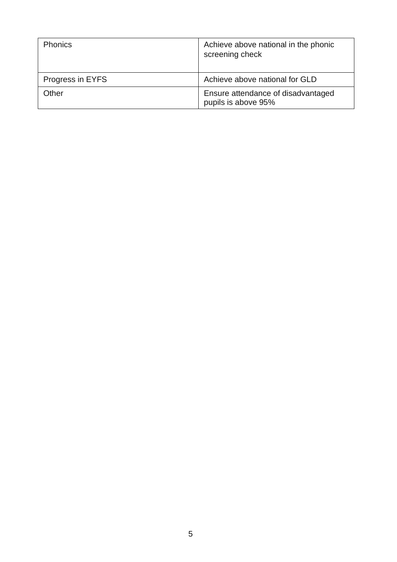| <b>Phonics</b>   | Achieve above national in the phonic<br>screening check   |
|------------------|-----------------------------------------------------------|
| Progress in EYFS | Achieve above national for GLD                            |
| Other            | Ensure attendance of disadvantaged<br>pupils is above 95% |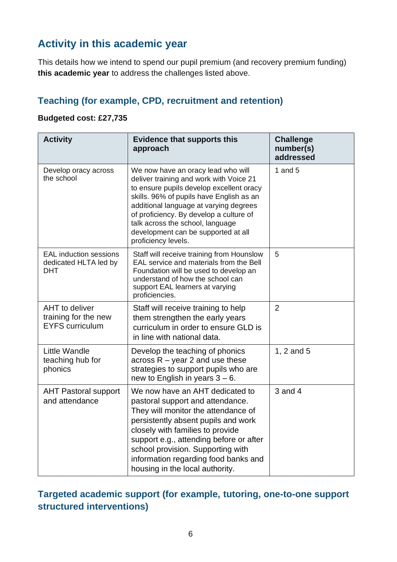# **Activity in this academic year**

This details how we intend to spend our pupil premium (and recovery premium funding) **this academic year** to address the challenges listed above.

### **Teaching (for example, CPD, recruitment and retention)**

#### **Budgeted cost: £27,735**

| <b>Activity</b>                                                  | <b>Evidence that supports this</b><br>approach                                                                                                                                                                                                                                                                                                               | <b>Challenge</b><br>number(s)<br>addressed |
|------------------------------------------------------------------|--------------------------------------------------------------------------------------------------------------------------------------------------------------------------------------------------------------------------------------------------------------------------------------------------------------------------------------------------------------|--------------------------------------------|
| Develop oracy across<br>the school                               | We now have an oracy lead who will<br>deliver training and work with Voice 21<br>to ensure pupils develop excellent oracy<br>skills. 96% of pupils have English as an<br>additional language at varying degrees<br>of proficiency. By develop a culture of<br>talk across the school, language<br>development can be supported at all<br>proficiency levels. | 1 and $5$                                  |
| <b>EAL</b> induction sessions<br>dedicated HLTA led by<br>DHT    | Staff will receive training from Hounslow<br>EAL service and materials from the Bell<br>Foundation will be used to develop an<br>understand of how the school can<br>support EAL learners at varying<br>proficiencies.                                                                                                                                       | 5                                          |
| AHT to deliver<br>training for the new<br><b>EYFS</b> curriculum | Staff will receive training to help<br>them strengthen the early years<br>curriculum in order to ensure GLD is<br>in line with national data.                                                                                                                                                                                                                | $\overline{2}$                             |
| Little Wandle<br>teaching hub for<br>phonics                     | Develop the teaching of phonics<br>across $R - \gamma$ ear 2 and use these<br>strategies to support pupils who are<br>new to English in years $3 - 6$ .                                                                                                                                                                                                      | 1, 2 and 5                                 |
| <b>AHT Pastoral support</b><br>and attendance                    | We now have an AHT dedicated to<br>pastoral support and attendance.<br>They will monitor the attendance of<br>persistently absent pupils and work<br>closely with families to provide<br>support e.g., attending before or after<br>school provision. Supporting with<br>information regarding food banks and<br>housing in the local authority.             | $3$ and $4$                                |

### **Targeted academic support (for example, tutoring, one-to-one support structured interventions)**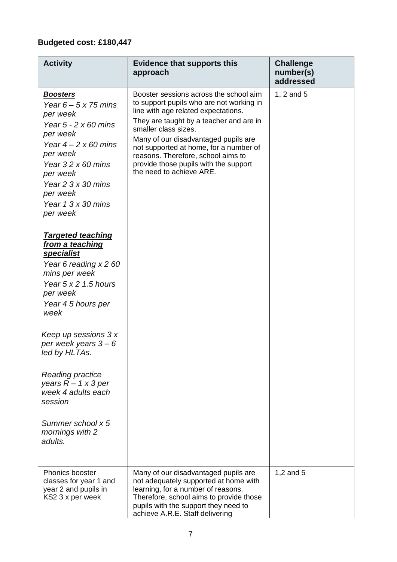### **Budgeted cost: £180,447**

| <b>Activity</b>                                                                                                                                                                                                                                                                                                                                                            | <b>Evidence that supports this</b><br>approach                                                                                                                                                                                                                                                                                                                                            | <b>Challenge</b><br>number(s)<br>addressed |
|----------------------------------------------------------------------------------------------------------------------------------------------------------------------------------------------------------------------------------------------------------------------------------------------------------------------------------------------------------------------------|-------------------------------------------------------------------------------------------------------------------------------------------------------------------------------------------------------------------------------------------------------------------------------------------------------------------------------------------------------------------------------------------|--------------------------------------------|
| <b>Boosters</b><br>Year $6 - 5 \times 75$ mins<br>per week<br>Year $5 - 2 \times 60$ mins<br>per week<br>Year $4 - 2 \times 60$ mins<br>per week<br>Year $32 \times 60$ mins<br>per week<br>Year $2 \frac{3}{2}$ 30 mins<br>per week<br>Year $1.3 \times 30$ mins<br>per week<br><b>Targeted teaching</b><br>from a teaching<br><b>specialist</b><br>Year 6 reading x 2 60 | Booster sessions across the school aim<br>to support pupils who are not working in<br>line with age related expectations.<br>They are taught by a teacher and are in<br>smaller class sizes.<br>Many of our disadvantaged pupils are<br>not supported at home, for a number of<br>reasons. Therefore, school aims to<br>provide those pupils with the support<br>the need to achieve ARE. | 1, 2 and 5                                 |
| mins per week<br>Year $5 \times 2$ 1.5 hours<br>per week<br>Year 45 hours per<br>week                                                                                                                                                                                                                                                                                      |                                                                                                                                                                                                                                                                                                                                                                                           |                                            |
| Keep up sessions 3 x<br>per week years $3-6$<br>led by HLTAs.                                                                                                                                                                                                                                                                                                              |                                                                                                                                                                                                                                                                                                                                                                                           |                                            |
| <b>Reading practice</b><br>years $R - 1 \times 3$ per<br>week 4 adults each<br>session                                                                                                                                                                                                                                                                                     |                                                                                                                                                                                                                                                                                                                                                                                           |                                            |
| Summer school x 5<br>mornings with 2<br>adults.                                                                                                                                                                                                                                                                                                                            |                                                                                                                                                                                                                                                                                                                                                                                           |                                            |
| Phonics booster<br>classes for year 1 and<br>year 2 and pupils in<br>KS2 3 x per week                                                                                                                                                                                                                                                                                      | Many of our disadvantaged pupils are<br>not adequately supported at home with<br>learning, for a number of reasons.<br>Therefore, school aims to provide those<br>pupils with the support they need to<br>achieve A.R.E. Staff delivering                                                                                                                                                 | 1,2 and 5                                  |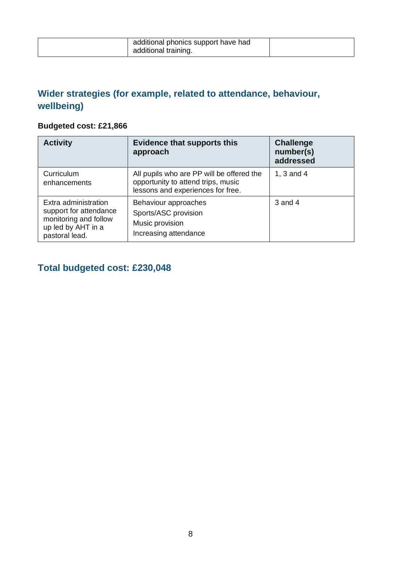| additional phonics support have had |  |
|-------------------------------------|--|
| additional training.                |  |

### **Wider strategies (for example, related to attendance, behaviour, wellbeing)**

### **Budgeted cost: £21,866**

| <b>Activity</b>                                                                                                 | <b>Evidence that supports this</b><br>approach                                                                       | <b>Challenge</b><br>number(s)<br>addressed |
|-----------------------------------------------------------------------------------------------------------------|----------------------------------------------------------------------------------------------------------------------|--------------------------------------------|
| Curriculum<br>enhancements                                                                                      | All pupils who are PP will be offered the<br>opportunity to attend trips, music<br>lessons and experiences for free. | 1, 3 and 4                                 |
| Extra administration<br>support for attendance<br>monitoring and follow<br>up led by AHT in a<br>pastoral lead. | Behaviour approaches<br>Sports/ASC provision<br>Music provision<br>Increasing attendance                             | 3 and 4                                    |

### **Total budgeted cost: £230,048**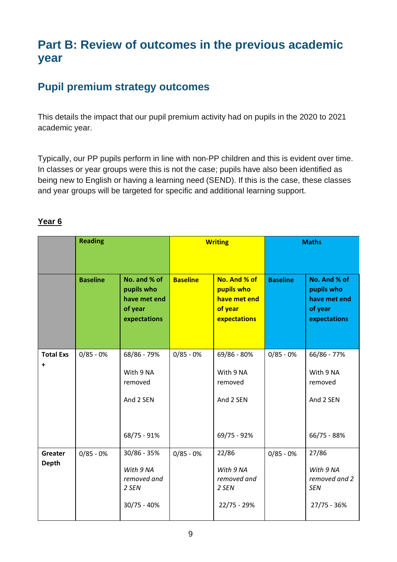# **Part B: Review of outcomes in the previous academic year**

# **Pupil premium strategy outcomes**

This details the impact that our pupil premium activity had on pupils in the 2020 to 2021 academic year.

Typically, our PP pupils perform in line with non-PP children and this is evident over time. In classes or year groups were this is not the case; pupils have also been identified as being new to English or having a learning need (SEND). If this is the case, these classes and year groups will be targeted for specific and additional learning support.

|                                | <b>Reading</b>  |                                                                       | <b>Writing</b>  |                                                                       | <b>Maths</b>    |                                                                       |
|--------------------------------|-----------------|-----------------------------------------------------------------------|-----------------|-----------------------------------------------------------------------|-----------------|-----------------------------------------------------------------------|
|                                | <b>Baseline</b> | No. and % of<br>pupils who<br>have met end<br>of year<br>expectations | <b>Baseline</b> | No. And % of<br>pupils who<br>have met end<br>of year<br>expectations | <b>Baseline</b> | No. And % of<br>pupils who<br>have met end<br>of year<br>expectations |
| <b>Total Exs</b><br>+          | $0/85 - 0%$     | 68/86 - 79%<br>With 9 NA<br>removed<br>And 2 SEN<br>68/75 - 91%       | $0/85 - 0%$     | 69/86 - 80%<br>With 9 NA<br>removed<br>And 2 SEN<br>69/75 - 92%       | $0/85 - 0%$     | 66/86 - 77%<br>With 9 NA<br>removed<br>And 2 SEN<br>66/75 - 88%       |
| <b>Greater</b><br><b>Depth</b> | $0/85 - 0%$     | 30/86 - 35%<br>With 9 NA<br>removed and<br>2 SEN<br>$30/75 - 40%$     | $0/85 - 0%$     | 22/86<br>With 9 NA<br>removed and<br>2 SEN<br>22/75 - 29%             | $0/85 - 0%$     | 27/86<br>With 9 NA<br>removed and 2<br><b>SEN</b><br>27/75 - 36%      |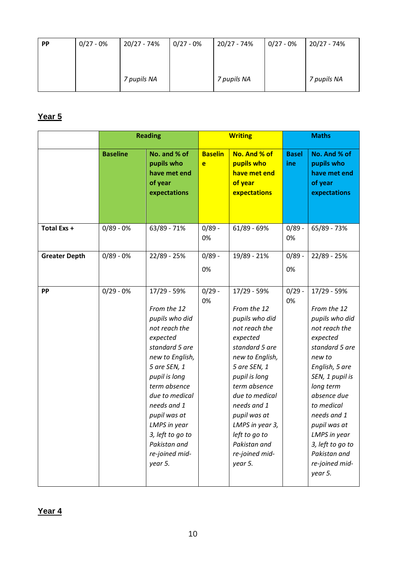| <b>PP</b> | $0/27 - 0%$ | 20/27 - 74% | $0/27 - 0%$ | 20/27 - 74% | $0/27 - 0%$ | 20/27 - 74% |
|-----------|-------------|-------------|-------------|-------------|-------------|-------------|
|           |             |             |             |             |             |             |
|           |             | 7 pupils NA |             | 7 pupils NA |             | 7 pupils NA |

|                      |                 | <b>Reading</b>                                                        |                     | <b>Writing</b>                                                        | <b>Maths</b>        |                                                                       |
|----------------------|-----------------|-----------------------------------------------------------------------|---------------------|-----------------------------------------------------------------------|---------------------|-----------------------------------------------------------------------|
|                      | <b>Baseline</b> | No. and % of<br>pupils who<br>have met end<br>of year<br>expectations | <b>Baselin</b><br>e | No. And % of<br>pupils who<br>have met end<br>of year<br>expectations | <b>Basel</b><br>ine | No. And % of<br>pupils who<br>have met end<br>of year<br>expectations |
| Total Exs +          | $0/89 - 0%$     | 63/89 - 71%                                                           | $0/89 -$<br>0%      | $61/89 - 69%$                                                         | $0/89 -$<br>0%      | 65/89 - 73%                                                           |
| <b>Greater Depth</b> | $0/89 - 0%$     | 22/89 - 25%                                                           | $0/89 -$            | 19/89 - 21%                                                           | $0/89 -$            | 22/89 - 25%                                                           |
|                      |                 |                                                                       | 0%                  |                                                                       | 0%                  |                                                                       |
| <b>PP</b>            | $0/29 - 0%$     | 17/29 - 59%                                                           | $0/29 -$            | 17/29 - 59%                                                           | $0/29 -$            | 17/29 - 59%                                                           |
|                      |                 | From the 12                                                           | 0%                  | From the 12                                                           | 0%                  | From the 12                                                           |
|                      |                 | pupils who did                                                        |                     | pupils who did                                                        |                     | pupils who did                                                        |
|                      |                 | not reach the                                                         |                     | not reach the                                                         |                     | not reach the                                                         |
|                      |                 | expected                                                              |                     | expected                                                              |                     | expected                                                              |
|                      |                 | standard 5 are                                                        |                     | standard 5 are                                                        |                     | standard 5 are                                                        |
|                      |                 | new to English,                                                       |                     | new to English,                                                       |                     | new to                                                                |
|                      |                 | 5 are SEN, 1                                                          |                     | 5 are SEN, 1                                                          |                     | English, 5 are                                                        |
|                      |                 | pupil is long                                                         |                     | pupil is long                                                         |                     | SEN, 1 pupil is                                                       |
|                      |                 | term absence                                                          |                     | term absence                                                          |                     | long term                                                             |
|                      |                 | due to medical                                                        |                     | due to medical                                                        |                     | absence due                                                           |
|                      |                 | needs and 1                                                           |                     | needs and 1                                                           |                     | to medical                                                            |
|                      |                 | pupil was at                                                          |                     | pupil was at                                                          |                     | needs and 1                                                           |
|                      |                 | LMPS in year                                                          |                     | LMPS in year 3,                                                       |                     | pupil was at                                                          |
|                      |                 | 3, left to go to<br>Pakistan and                                      |                     | left to go to<br>Pakistan and                                         |                     | LMPS in year                                                          |
|                      |                 | re-joined mid-                                                        |                     | re-joined mid-                                                        |                     | 3, left to go to<br>Pakistan and                                      |
|                      |                 | year 5.                                                               |                     | year 5.                                                               |                     | re-joined mid-                                                        |
|                      |                 |                                                                       |                     |                                                                       |                     | year 5.                                                               |
|                      |                 |                                                                       |                     |                                                                       |                     |                                                                       |

**Year 4**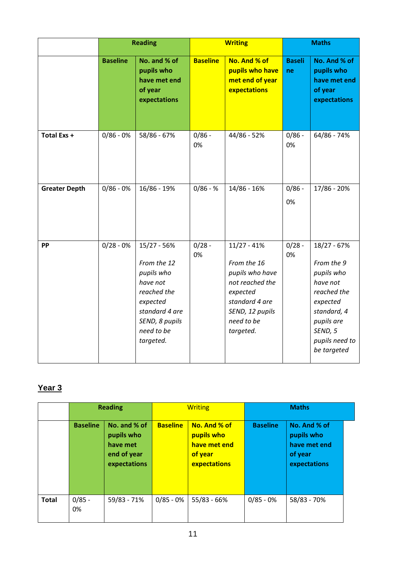|                      |                 | <b>Reading</b>                                                                                                                                 |                 | <b>Writing</b>                                                                                                                                 | <b>Maths</b>        |                                                                                                                                                         |  |
|----------------------|-----------------|------------------------------------------------------------------------------------------------------------------------------------------------|-----------------|------------------------------------------------------------------------------------------------------------------------------------------------|---------------------|---------------------------------------------------------------------------------------------------------------------------------------------------------|--|
|                      | <b>Baseline</b> | No. and % of<br>pupils who<br>have met end<br>of year<br>expectations                                                                          | <b>Baseline</b> | No. And % of<br>pupils who have<br>met end of year<br>expectations                                                                             | <b>Baseli</b><br>ne | No. And % of<br>pupils who<br>have met end<br>of year<br>expectations                                                                                   |  |
| Total Exs +          | $0/86 - 0%$     | 58/86 - 67%                                                                                                                                    | $0/86 -$<br>0%  | 44/86 - 52%                                                                                                                                    | $0/86 -$<br>0%      | 64/86 - 74%                                                                                                                                             |  |
| <b>Greater Depth</b> | $0/86 - 0%$     | 16/86 - 19%                                                                                                                                    | $0/86 - %$      | 14/86 - 16%                                                                                                                                    | $0/86 -$<br>0%      | 17/86 - 20%                                                                                                                                             |  |
| <b>PP</b>            | $0/28 - 0%$     | 15/27 - 56%<br>From the 12<br>pupils who<br>have not<br>reached the<br>expected<br>standard 4 are<br>SEND, 8 pupils<br>need to be<br>targeted. | $0/28 -$<br>0%  | $11/27 - 41%$<br>From the 16<br>pupils who have<br>not reached the<br>expected<br>standard 4 are<br>SEND, 12 pupils<br>need to be<br>targeted. | $0/28 -$<br>0%      | 18/27 - 67%<br>From the 9<br>pupils who<br>have not<br>reached the<br>expected<br>standard, 4<br>pupils are<br>SEND, 5<br>pupils need to<br>be targeted |  |

|              | <b>Reading</b>  |                                                                       | <b>Writing</b>  |                                                                       | <b>Maths</b>    |                                                                       |  |
|--------------|-----------------|-----------------------------------------------------------------------|-----------------|-----------------------------------------------------------------------|-----------------|-----------------------------------------------------------------------|--|
|              | <b>Baseline</b> | No. and % of<br>pupils who<br>have met<br>end of year<br>expectations | <b>Baseline</b> | No. And % of<br>pupils who<br>have met end<br>of year<br>expectations | <b>Baseline</b> | No. And % of<br>pupils who<br>have met end<br>of year<br>expectations |  |
| <b>Total</b> | $0/85 -$<br>0%  | 59/83 - 71%                                                           | $0/85 - 0%$     | 55/83 - 66%                                                           | $0/85 - 0%$     | 58/83 - 70%                                                           |  |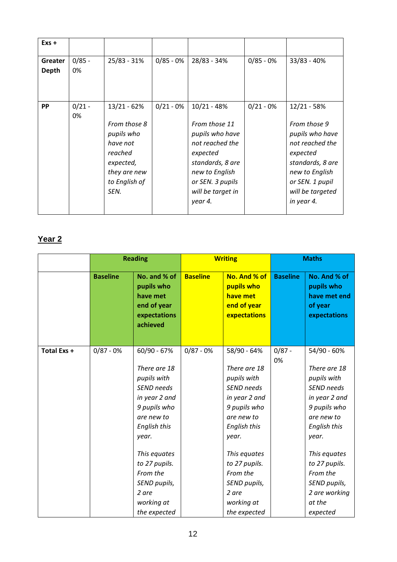| $Exs +$          |                |                                                                                                                          |             |                                                                                                                                                                            |             |                                                                                                                                                                            |
|------------------|----------------|--------------------------------------------------------------------------------------------------------------------------|-------------|----------------------------------------------------------------------------------------------------------------------------------------------------------------------------|-------------|----------------------------------------------------------------------------------------------------------------------------------------------------------------------------|
| Greater<br>Depth | $0/85 -$<br>0% | 25/83 - 31%                                                                                                              | $0/85 - 0%$ | 28/83 - 34%                                                                                                                                                                | $0/85 - 0%$ | 33/83 - 40%                                                                                                                                                                |
| <b>PP</b>        | $0/21 -$<br>0% | $13/21 - 62%$<br>From those 8<br>pupils who<br>have not<br>reached<br>expected,<br>they are new<br>to English of<br>SEN. | $0/21 - 0%$ | $10/21 - 48%$<br>From those 11<br>pupils who have<br>not reached the<br>expected<br>standards, 8 are<br>new to English<br>or SEN. 3 pupils<br>will be target in<br>year 4. | $0/21 - 0%$ | $12/21 - 58%$<br>From those 9<br>pupils who have<br>not reached the<br>expected<br>standards, 8 are<br>new to English<br>or SEN. 1 pupil<br>will be targeted<br>in year 4. |

|             | <b>Reading</b>  |                                                                                   |                 | <b>Writing</b>                                                        |                 | <b>Maths</b>                                                          |  |
|-------------|-----------------|-----------------------------------------------------------------------------------|-----------------|-----------------------------------------------------------------------|-----------------|-----------------------------------------------------------------------|--|
|             | <b>Baseline</b> | No. and % of<br>pupils who<br>have met<br>end of year<br>expectations<br>achieved | <b>Baseline</b> | No. And % of<br>pupils who<br>have met<br>end of year<br>expectations | <b>Baseline</b> | No. And % of<br>pupils who<br>have met end<br>of year<br>expectations |  |
| Total Exs + | $0/87 - 0%$     | 60/90 - 67%                                                                       | $0/87 - 0%$     | 58/90 - 64%                                                           | $0/87 -$<br>0%  | 54/90 - 60%                                                           |  |
|             |                 | There are 18                                                                      |                 | There are 18                                                          |                 | There are 18                                                          |  |
|             |                 | pupils with                                                                       |                 | pupils with                                                           |                 | pupils with                                                           |  |
|             |                 | SEND needs                                                                        |                 | SEND needs                                                            |                 | SEND needs                                                            |  |
|             |                 | in year 2 and                                                                     |                 | in year 2 and                                                         |                 | in year 2 and                                                         |  |
|             |                 | 9 pupils who                                                                      |                 | 9 pupils who                                                          |                 | 9 pupils who                                                          |  |
|             |                 | are new to                                                                        |                 | are new to                                                            |                 | are new to                                                            |  |
|             |                 | <b>English this</b>                                                               |                 | <b>English this</b>                                                   |                 | <b>English this</b>                                                   |  |
|             |                 | year.                                                                             |                 | year.                                                                 |                 | year.                                                                 |  |
|             |                 | This equates                                                                      |                 | This equates                                                          |                 | This equates                                                          |  |
|             |                 | to 27 pupils.                                                                     |                 | to 27 pupils.                                                         |                 | to 27 pupils.                                                         |  |
|             |                 | From the                                                                          |                 | From the                                                              |                 | From the                                                              |  |
|             |                 | SEND pupils,                                                                      |                 | SEND pupils,                                                          |                 | SEND pupils,                                                          |  |
|             |                 | 2 are                                                                             |                 | 2 are                                                                 |                 | 2 are working                                                         |  |
|             |                 | working at                                                                        |                 | working at                                                            |                 | at the                                                                |  |
|             |                 | the expected                                                                      |                 | the expected                                                          |                 | expected                                                              |  |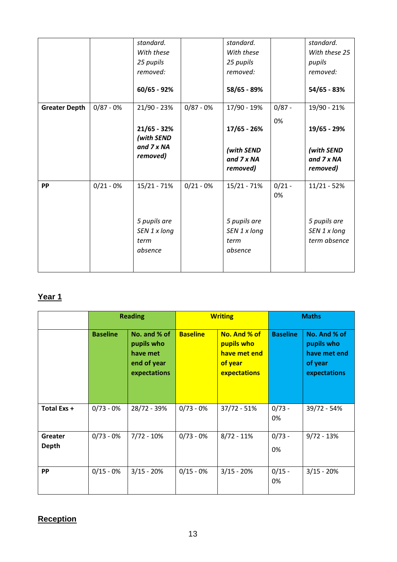|             | standard.                                       |             | standard.                                       |                | standard.                                    |
|-------------|-------------------------------------------------|-------------|-------------------------------------------------|----------------|----------------------------------------------|
|             | With these                                      |             | With these                                      |                | With these 25                                |
|             | 25 pupils                                       |             | 25 pupils                                       |                | pupils                                       |
|             | removed:                                        |             | removed:                                        |                | removed:                                     |
|             | 60/65 - 92%                                     |             | 58/65 - 89%                                     |                | 54/65 - 83%                                  |
| $0/87 - 0%$ | 21/90 - 23%                                     | $0/87 - 0%$ | 17/90 - 19%                                     | $0/87 -$       | 19/90 - 21%                                  |
|             | $21/65 - 32%$                                   |             | 17/65 - 26%                                     | 0%             | 19/65 - 29%                                  |
|             | and 7 x NA<br>removed)                          |             | (with SEND<br>and 7 x NA<br>removed)            |                | (with SEND<br>and 7 x NA<br>removed)         |
| $0/21 - 0%$ | $15/21 - 71%$                                   | $0/21 - 0%$ | 15/21 - 71%                                     | $0/21 -$<br>0% | $11/21 - 52%$                                |
|             | 5 pupils are<br>SEN 1 x long<br>term<br>absence |             | 5 pupils are<br>SEN 1 x long<br>term<br>absence |                | 5 pupils are<br>SEN 1 x long<br>term absence |
|             |                                                 | (with SEND  |                                                 |                |                                              |

|                  | <b>Reading</b>  |                                                                       | <b>Writing</b>  |                                                                       | <b>Maths</b>    |                                                                       |
|------------------|-----------------|-----------------------------------------------------------------------|-----------------|-----------------------------------------------------------------------|-----------------|-----------------------------------------------------------------------|
|                  | <b>Baseline</b> | No. and % of<br>pupils who<br>have met<br>end of year<br>expectations | <b>Baseline</b> | No. And % of<br>pupils who<br>have met end<br>of year<br>expectations | <b>Baseline</b> | No. And % of<br>pupils who<br>have met end<br>of year<br>expectations |
| Total Exs +      | $0/73 - 0%$     | 28/72 - 39%                                                           | $0/73 - 0%$     | $37/72 - 51%$                                                         | $0/73 -$<br>0%  | 39/72 - 54%                                                           |
| Greater<br>Depth | $0/73 - 0%$     | $7/72 - 10%$                                                          | $0/73 - 0%$     | $8/72 - 11%$                                                          | $0/73 -$<br>0%  | $9/72 - 13%$                                                          |
| <b>PP</b>        | $0/15 - 0%$     | $3/15 - 20%$                                                          | $0/15 - 0%$     | $3/15 - 20%$                                                          | $0/15 -$<br>0%  | $3/15 - 20%$                                                          |

### **Reception**